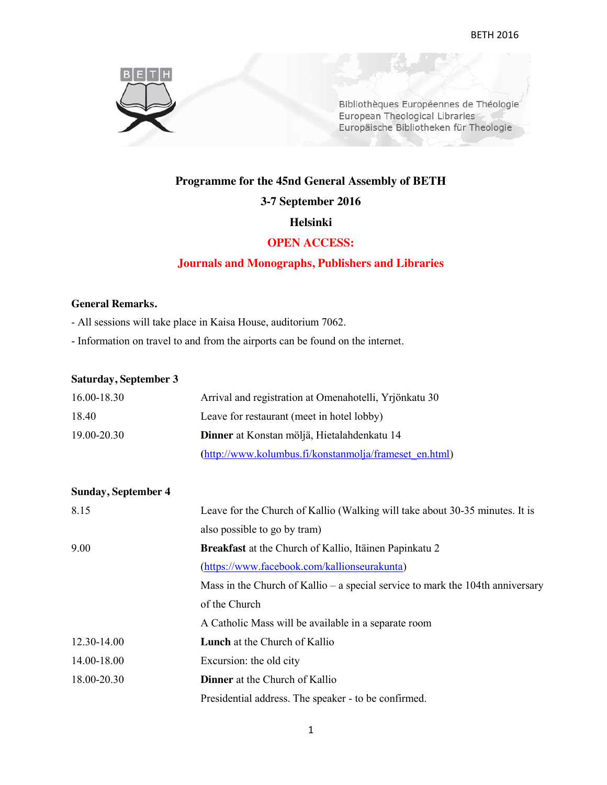

Bibliothèques Européennes de Théologie European Theological Libraries Europäische Bibliotheken für Theologie

# **Programme for the 45nd General Assembly of BETH**

#### **3-7 September 2016**

#### **Helsinki**

## **OPEN ACCESS:**

# **Journals and Monographs, Publishers and Libraries**

## **General Remarks.**

- All sessions will take place in Kaisa House, auditorium 7062.
- Information on travel to and from the airports can be found on the internet.

#### **Saturday, September 3**

| 16.00-18.30 | Arrival and registration at Omenahotelli, Yrjönkatu 30 |
|-------------|--------------------------------------------------------|
| 18.40       | Leave for restaurant (meet in hotel lobby)             |
| 19.00-20.30 | Dinner at Konstan möljä, Hietalahdenkatu 14            |
|             | (http://www.kolumbus.fi/konstanmolja/frameset en.html) |

| <b>Sunday, September 4</b> |                                                                                |
|----------------------------|--------------------------------------------------------------------------------|
| 8.15                       | Leave for the Church of Kallio (Walking will take about 30-35 minutes. It is   |
|                            | also possible to go by tram)                                                   |
| 9.00                       | <b>Breakfast</b> at the Church of Kallio, Itäinen Papinkatu 2                  |
|                            | (https://www.facebook.com/kallionseurakunta)                                   |
|                            | Mass in the Church of Kallio – a special service to mark the 104th anniversary |
|                            | of the Church                                                                  |
|                            | A Catholic Mass will be available in a separate room                           |
| 12.30-14.00                | <b>Lunch</b> at the Church of Kallio                                           |
| 14.00-18.00                | Excursion: the old city                                                        |
| 18.00-20.30                | <b>Dinner</b> at the Church of Kallio                                          |
|                            | Presidential address. The speaker - to be confirmed.                           |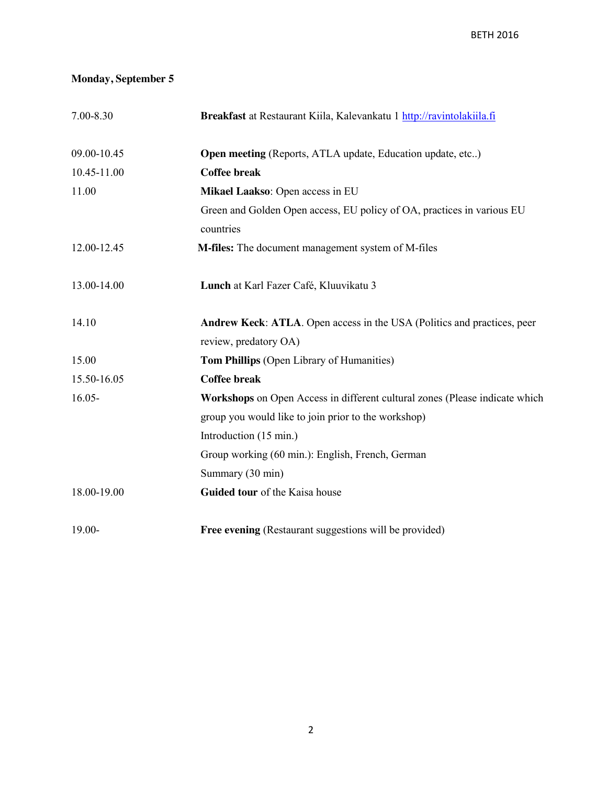# **Monday, September 5**

| 7.00-8.30   | Breakfast at Restaurant Kiila, Kalevankatu 1 http://ravintolakiila.fi       |
|-------------|-----------------------------------------------------------------------------|
| 09.00-10.45 | <b>Open meeting</b> (Reports, ATLA update, Education update, etc)           |
| 10.45-11.00 | <b>Coffee break</b>                                                         |
| 11.00       | Mikael Laakso: Open access in EU                                            |
|             | Green and Golden Open access, EU policy of OA, practices in various EU      |
|             | countries                                                                   |
| 12.00-12.45 | M-files: The document management system of M-files                          |
| 13.00-14.00 | Lunch at Karl Fazer Café, Kluuvikatu 3                                      |
| 14.10       | Andrew Keck: ATLA. Open access in the USA (Politics and practices, peer     |
|             | review, predatory OA)                                                       |
| 15.00       | Tom Phillips (Open Library of Humanities)                                   |
| 15.50-16.05 | <b>Coffee break</b>                                                         |
| $16.05 -$   | Workshops on Open Access in different cultural zones (Please indicate which |
|             | group you would like to join prior to the workshop)                         |
|             | Introduction (15 min.)                                                      |
|             | Group working (60 min.): English, French, German                            |
|             | Summary (30 min)                                                            |
| 18.00-19.00 | Guided tour of the Kaisa house                                              |
| $19.00 -$   | Free evening (Restaurant suggestions will be provided)                      |